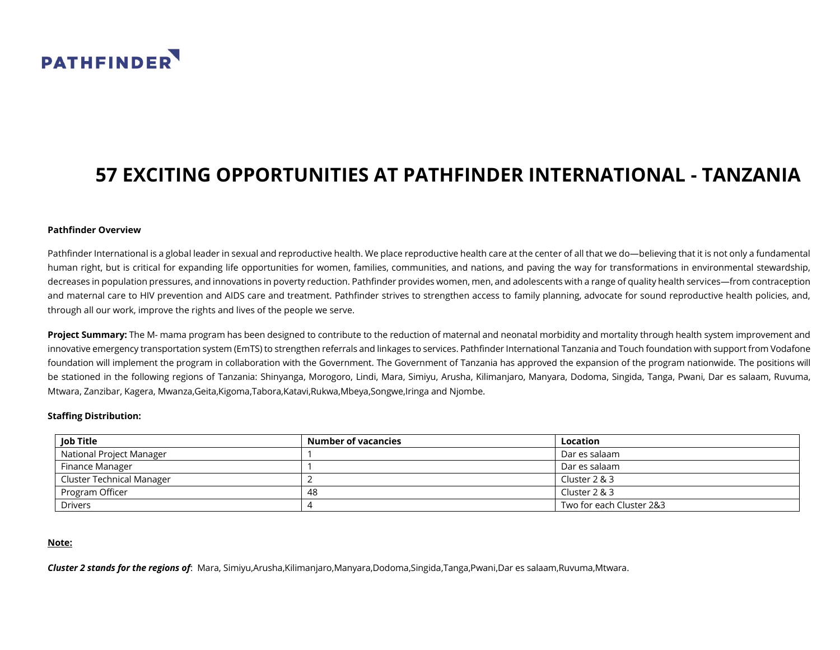

# **57 EXCITING OPPORTUNITIES AT PATHFINDER INTERNATIONAL - TANZANIA**

#### **Pathfinder Overview**

Pathfinder International is a global leader in sexual and reproductive health. We place reproductive health care at the center of all that we do—believing that it is not only a fundamental human right, but is critical for expanding life opportunities for women, families, communities, and nations, and paving the way for transformations in environmental stewardship, decreases in population pressures, and innovations in poverty reduction. Pathfinder provides women, men, and adolescents with a range of quality health services—from contraception and maternal care to HIV prevention and AIDS care and treatment. Pathfinder strives to strengthen access to family planning, advocate for sound reproductive health policies, and, through all our work, improve the rights and lives of the people we serve.

**Project Summary:** The M- mama program has been designed to contribute to the reduction of maternal and neonatal morbidity and mortality through health system improvement and innovative emergency transportation system (EmTS) to strengthen referrals and linkages to services. Pathfinder International Tanzania and Touch foundation with support from Vodafone foundation will implement the program in collaboration with the Government. The Government of Tanzania has approved the expansion of the program nationwide. The positions will be stationed in the following regions of Tanzania: Shinyanga, Morogoro, Lindi, Mara, Simiyu, Arusha, Kilimanjaro, Manyara, Dodoma, Singida, Tanga, Pwani, Dar es salaam, Ruvuma, Mtwara, Zanzibar, Kagera, Mwanza,Geita,Kigoma,Tabora,Katavi,Rukwa,Mbeya,Songwe,Iringa and Njombe.

#### **Staffing Distribution:**

| Job Title                 | Number of vacancies | Location                 |
|---------------------------|---------------------|--------------------------|
| National Project Manager  |                     | Dar es salaam            |
| Finance Manager           |                     | Dar es salaam            |
| Cluster Technical Manager |                     | Cluster 2 & 3            |
| Program Officer           | 48                  | Cluster $2 & 3$          |
| <b>Drivers</b>            |                     | Two for each Cluster 2&3 |

### **Note:**

*Cluster 2 stands for the regions of*: Mara, Simiyu,Arusha,Kilimanjaro,Manyara,Dodoma,Singida,Tanga,Pwani,Dar es salaam,Ruvuma,Mtwara.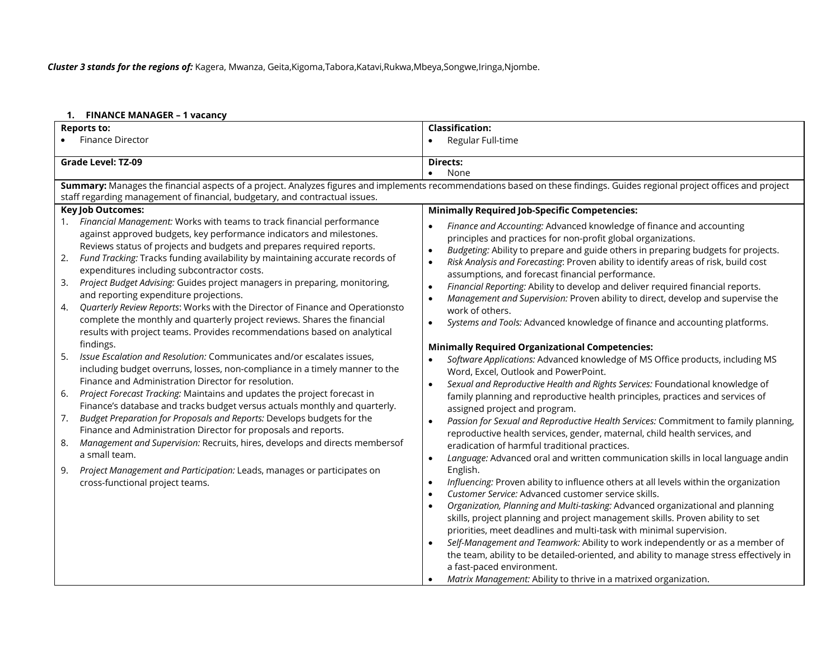*Cluster 3 stands for the regions of:* Kagera, Mwanza, Geita,Kigoma,Tabora,Katavi,Rukwa,Mbeya,Songwe,Iringa,Njombe.

#### **1. FINANCE MANAGER – 1 vacancy**

| <b>Reports to:</b>                                                                                                                                                                                                                                                                                                                                                                                                                                                                                                                                                                                                                                                                                                                                                                                                                                                                                                                                                                                                                                                                                                                                                                                                                                                                                                                                                                                                                                                                                                             | <b>Classification:</b>                                                                                                                                                                                                                                                                                                                                                                                                                                                                                                                                                                                                                                                                                                                                                                                                                                                                                                                                                                                                                                                                                                                                                                                                                                                                                                                                                                                                                                                                                                                                                                                                                                                                                                                                                                                                                                                                                                                                                                                                                                                                                                                                           |  |  |
|--------------------------------------------------------------------------------------------------------------------------------------------------------------------------------------------------------------------------------------------------------------------------------------------------------------------------------------------------------------------------------------------------------------------------------------------------------------------------------------------------------------------------------------------------------------------------------------------------------------------------------------------------------------------------------------------------------------------------------------------------------------------------------------------------------------------------------------------------------------------------------------------------------------------------------------------------------------------------------------------------------------------------------------------------------------------------------------------------------------------------------------------------------------------------------------------------------------------------------------------------------------------------------------------------------------------------------------------------------------------------------------------------------------------------------------------------------------------------------------------------------------------------------|------------------------------------------------------------------------------------------------------------------------------------------------------------------------------------------------------------------------------------------------------------------------------------------------------------------------------------------------------------------------------------------------------------------------------------------------------------------------------------------------------------------------------------------------------------------------------------------------------------------------------------------------------------------------------------------------------------------------------------------------------------------------------------------------------------------------------------------------------------------------------------------------------------------------------------------------------------------------------------------------------------------------------------------------------------------------------------------------------------------------------------------------------------------------------------------------------------------------------------------------------------------------------------------------------------------------------------------------------------------------------------------------------------------------------------------------------------------------------------------------------------------------------------------------------------------------------------------------------------------------------------------------------------------------------------------------------------------------------------------------------------------------------------------------------------------------------------------------------------------------------------------------------------------------------------------------------------------------------------------------------------------------------------------------------------------------------------------------------------------------------------------------------------------|--|--|
| <b>Finance Director</b>                                                                                                                                                                                                                                                                                                                                                                                                                                                                                                                                                                                                                                                                                                                                                                                                                                                                                                                                                                                                                                                                                                                                                                                                                                                                                                                                                                                                                                                                                                        | Regular Full-time                                                                                                                                                                                                                                                                                                                                                                                                                                                                                                                                                                                                                                                                                                                                                                                                                                                                                                                                                                                                                                                                                                                                                                                                                                                                                                                                                                                                                                                                                                                                                                                                                                                                                                                                                                                                                                                                                                                                                                                                                                                                                                                                                |  |  |
|                                                                                                                                                                                                                                                                                                                                                                                                                                                                                                                                                                                                                                                                                                                                                                                                                                                                                                                                                                                                                                                                                                                                                                                                                                                                                                                                                                                                                                                                                                                                |                                                                                                                                                                                                                                                                                                                                                                                                                                                                                                                                                                                                                                                                                                                                                                                                                                                                                                                                                                                                                                                                                                                                                                                                                                                                                                                                                                                                                                                                                                                                                                                                                                                                                                                                                                                                                                                                                                                                                                                                                                                                                                                                                                  |  |  |
| <b>Grade Level: TZ-09</b>                                                                                                                                                                                                                                                                                                                                                                                                                                                                                                                                                                                                                                                                                                                                                                                                                                                                                                                                                                                                                                                                                                                                                                                                                                                                                                                                                                                                                                                                                                      | Directs:<br>None<br>$\bullet$                                                                                                                                                                                                                                                                                                                                                                                                                                                                                                                                                                                                                                                                                                                                                                                                                                                                                                                                                                                                                                                                                                                                                                                                                                                                                                                                                                                                                                                                                                                                                                                                                                                                                                                                                                                                                                                                                                                                                                                                                                                                                                                                    |  |  |
|                                                                                                                                                                                                                                                                                                                                                                                                                                                                                                                                                                                                                                                                                                                                                                                                                                                                                                                                                                                                                                                                                                                                                                                                                                                                                                                                                                                                                                                                                                                                | Summary: Manages the financial aspects of a project. Analyzes figures and implements recommendations based on these findings. Guides regional project offices and project                                                                                                                                                                                                                                                                                                                                                                                                                                                                                                                                                                                                                                                                                                                                                                                                                                                                                                                                                                                                                                                                                                                                                                                                                                                                                                                                                                                                                                                                                                                                                                                                                                                                                                                                                                                                                                                                                                                                                                                        |  |  |
| staff regarding management of financial, budgetary, and contractual issues.                                                                                                                                                                                                                                                                                                                                                                                                                                                                                                                                                                                                                                                                                                                                                                                                                                                                                                                                                                                                                                                                                                                                                                                                                                                                                                                                                                                                                                                    |                                                                                                                                                                                                                                                                                                                                                                                                                                                                                                                                                                                                                                                                                                                                                                                                                                                                                                                                                                                                                                                                                                                                                                                                                                                                                                                                                                                                                                                                                                                                                                                                                                                                                                                                                                                                                                                                                                                                                                                                                                                                                                                                                                  |  |  |
| <b>Key Job Outcomes:</b>                                                                                                                                                                                                                                                                                                                                                                                                                                                                                                                                                                                                                                                                                                                                                                                                                                                                                                                                                                                                                                                                                                                                                                                                                                                                                                                                                                                                                                                                                                       | <b>Minimally Required Job-Specific Competencies:</b>                                                                                                                                                                                                                                                                                                                                                                                                                                                                                                                                                                                                                                                                                                                                                                                                                                                                                                                                                                                                                                                                                                                                                                                                                                                                                                                                                                                                                                                                                                                                                                                                                                                                                                                                                                                                                                                                                                                                                                                                                                                                                                             |  |  |
| Financial Management: Works with teams to track financial performance<br>1.<br>against approved budgets, key performance indicators and milestones.<br>Reviews status of projects and budgets and prepares required reports.<br>Fund Tracking: Tracks funding availability by maintaining accurate records of<br>2.<br>expenditures including subcontractor costs.<br>Project Budget Advising: Guides project managers in preparing, monitoring,<br>3.<br>and reporting expenditure projections.<br>Quarterly Review Reports: Works with the Director of Finance and Operationsto<br>4.<br>complete the monthly and quarterly project reviews. Shares the financial<br>results with project teams. Provides recommendations based on analytical<br>findings.<br>5.<br>Issue Escalation and Resolution: Communicates and/or escalates issues,<br>including budget overruns, losses, non-compliance in a timely manner to the<br>Finance and Administration Director for resolution.<br>Project Forecast Tracking: Maintains and updates the project forecast in<br>6.<br>Finance's database and tracks budget versus actuals monthly and quarterly.<br>Budget Preparation for Proposals and Reports: Develops budgets for the<br>7.<br>Finance and Administration Director for proposals and reports.<br>Management and Supervision: Recruits, hires, develops and directs membersof<br>8.<br>a small team.<br>Project Management and Participation: Leads, manages or participates on<br>9.<br>cross-functional project teams. | Finance and Accounting: Advanced knowledge of finance and accounting<br>principles and practices for non-profit global organizations.<br>Budgeting: Ability to prepare and guide others in preparing budgets for projects.<br>Risk Analysis and Forecasting: Proven ability to identify areas of risk, build cost<br>$\bullet$<br>assumptions, and forecast financial performance.<br>Financial Reporting: Ability to develop and deliver required financial reports.<br>Management and Supervision: Proven ability to direct, develop and supervise the<br>$\bullet$<br>work of others.<br>Systems and Tools: Advanced knowledge of finance and accounting platforms.<br>$\bullet$<br><b>Minimally Required Organizational Competencies:</b><br>Software Applications: Advanced knowledge of MS Office products, including MS<br>$\bullet$<br>Word, Excel, Outlook and PowerPoint.<br>Sexual and Reproductive Health and Rights Services: Foundational knowledge of<br>$\bullet$<br>family planning and reproductive health principles, practices and services of<br>assigned project and program.<br>Passion for Sexual and Reproductive Health Services: Commitment to family planning,<br>$\bullet$<br>reproductive health services, gender, maternal, child health services, and<br>eradication of harmful traditional practices.<br>Language: Advanced oral and written communication skills in local language andin<br>$\bullet$<br>English.<br>Influencing: Proven ability to influence others at all levels within the organization<br>$\bullet$<br>Customer Service: Advanced customer service skills.<br>$\bullet$<br>Organization, Planning and Multi-tasking: Advanced organizational and planning<br>$\bullet$<br>skills, project planning and project management skills. Proven ability to set<br>priorities, meet deadlines and multi-task with minimal supervision.<br>Self-Management and Teamwork: Ability to work independently or as a member of<br>the team, ability to be detailed-oriented, and ability to manage stress effectively in<br>a fast-paced environment.<br>Matrix Management: Ability to thrive in a matrixed organization. |  |  |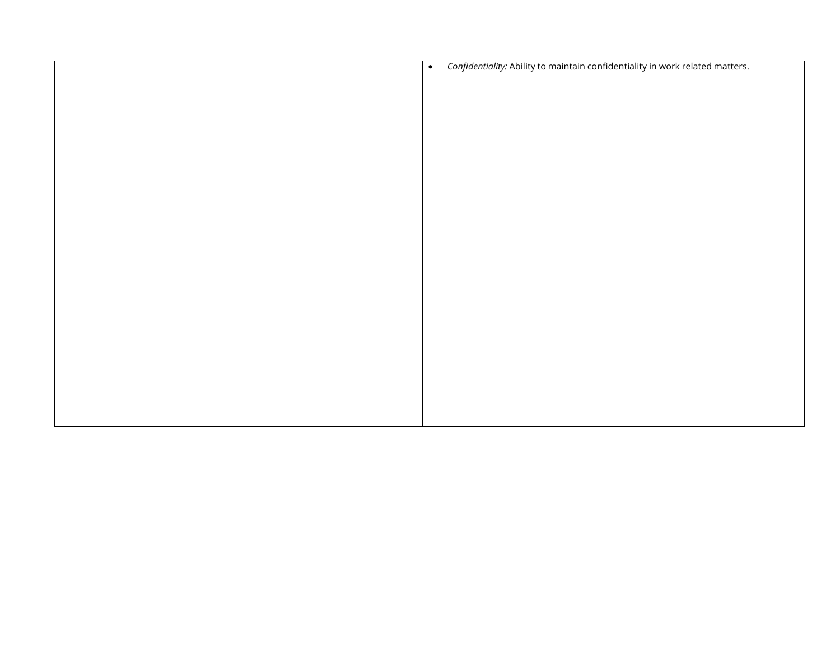| $\bullet$ | Confidentiality: Ability to maintain confidentiality in work related matters. |
|-----------|-------------------------------------------------------------------------------|
|           |                                                                               |
|           |                                                                               |
|           |                                                                               |
|           |                                                                               |
|           |                                                                               |
|           |                                                                               |
|           |                                                                               |
|           |                                                                               |
|           |                                                                               |
|           |                                                                               |
|           |                                                                               |
|           |                                                                               |
|           |                                                                               |
|           |                                                                               |
|           |                                                                               |
|           |                                                                               |
|           |                                                                               |
|           |                                                                               |
|           |                                                                               |
|           |                                                                               |
|           |                                                                               |
|           |                                                                               |
|           |                                                                               |
|           |                                                                               |
|           |                                                                               |
|           |                                                                               |
|           |                                                                               |
|           |                                                                               |
|           |                                                                               |
|           |                                                                               |
|           |                                                                               |
|           |                                                                               |
|           |                                                                               |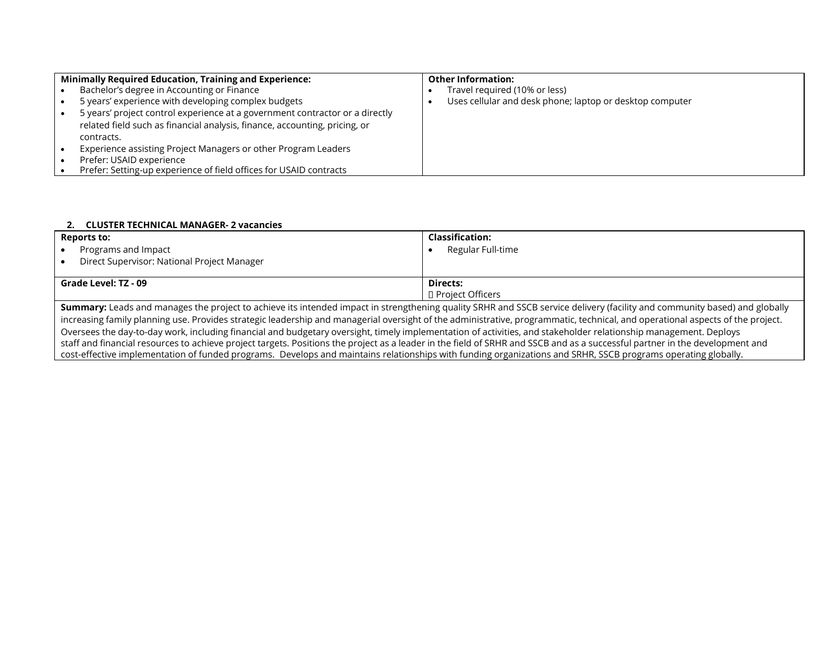| <b>Minimally Required Education, Training and Experience:</b>                |  | <b>Other Information:</b>                                |  |  |
|------------------------------------------------------------------------------|--|----------------------------------------------------------|--|--|
| Bachelor's degree in Accounting or Finance                                   |  | Travel required (10% or less)                            |  |  |
| 5 years' experience with developing complex budgets                          |  | Uses cellular and desk phone; laptop or desktop computer |  |  |
| 5 years' project control experience at a government contractor or a directly |  |                                                          |  |  |
| related field such as financial analysis, finance, accounting, pricing, or   |  |                                                          |  |  |
| contracts.                                                                   |  |                                                          |  |  |
| Experience assisting Project Managers or other Program Leaders               |  |                                                          |  |  |
| Prefer: USAID experience                                                     |  |                                                          |  |  |
| Prefer: Setting-up experience of field offices for USAID contracts           |  |                                                          |  |  |

## **2. CLUSTER TECHNICAL MANAGER- 2 vacancies**

| <b>Reports to:</b>                          | <b>Classification:</b>    |  |  |
|---------------------------------------------|---------------------------|--|--|
| Programs and Impact<br>$\bullet$            | Regular Full-time         |  |  |
| Direct Supervisor: National Project Manager |                           |  |  |
|                                             |                           |  |  |
| Grade Level: TZ - 09                        | Directs:                  |  |  |
|                                             | <b>D</b> Project Officers |  |  |
| .<br>.                                      | .<br>.<br>.               |  |  |

**Summary:** Leads and manages the project to achieve its intended impact in strengthening quality SRHR and SSCB service delivery (facility and community based) and globally increasing family planning use. Provides strategic leadership and managerial oversight of the administrative, programmatic, technical, and operational aspects of the project. Oversees the day-to-day work, including financial and budgetary oversight, timely implementation of activities, and stakeholder relationship management. Deploys staff and financial resources to achieve project targets. Positions the project as a leader in the field of SRHR and SSCB and as a successful partner in the development and cost-effective implementation of funded programs. Develops and maintains relationships with funding organizations and SRHR, SSCB programs operating globally.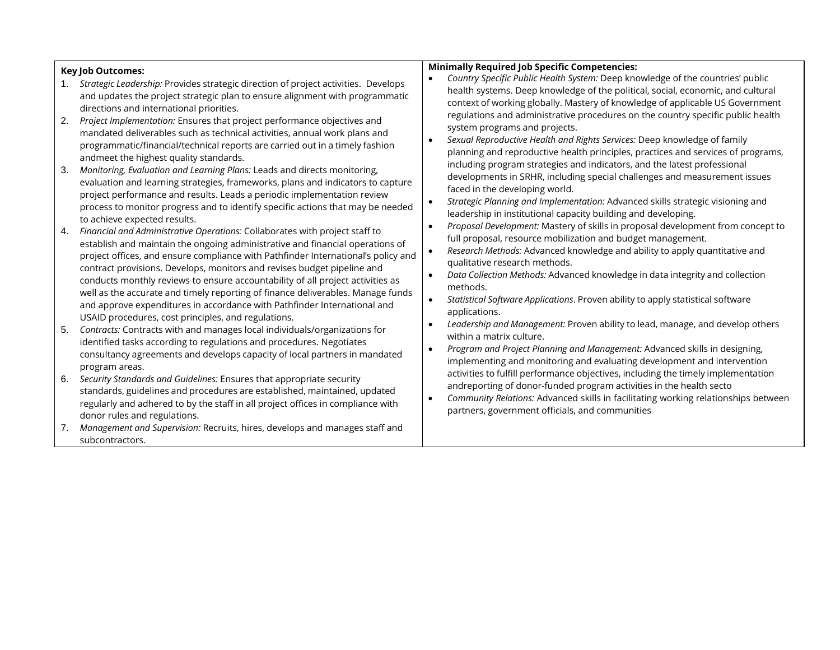## **Key Job Outcomes:**

## **Minimally Required Job Specific Competencies:**

- 1. *Strategic Leadership:* Provides strategic direction of project activities. Develops and updates the project strategic plan to ensure alignment with programmatic directions and international priorities.
- 2. *Project Implementation:* Ensures that project performance objectives and mandated deliverables such as technical activities, annual work plans and programmatic/financial/technical reports are carried out in a timely fashion andmeet the highest quality standards.
- 3. *Monitoring, Evaluation and Learning Plans:* Leads and directs monitoring, evaluation and learning strategies, frameworks, plans and indicators to capture project performance and results. Leads a periodic implementation review process to monitor progress and to identify specific actions that may be needed to achieve expected results.
- 4. *Financial and Administrative Operations:* Collaborates with project staff to establish and maintain the ongoing administrative and financial operations of project offices, and ensure compliance with Pathfinder International's policy and contract provisions. Develops, monitors and revises budget pipeline and conducts monthly reviews to ensure accountability of all project activities as well as the accurate and timely reporting of finance deliverables. Manage funds and approve expenditures in accordance with Pathfinder International and USAID procedures, cost principles, and regulations.
- 5. *Contracts:* Contracts with and manages local individuals/organizations for identified tasks according to regulations and procedures. Negotiates consultancy agreements and develops capacity of local partners in mandated program areas.
- 6. *Security Standards and Guidelines:* Ensures that appropriate security standards, guidelines and procedures are established, maintained, updated regularly and adhered to by the staff in all project offices in compliance with donor rules and regulations.
- 7. *Management and Supervision:* Recruits, hires, develops and manages staff and subcontractors.
- *Country Specific Public Health System:* Deep knowledge of the countries' public health systems. Deep knowledge of the political, social, economic, and cultural context of working globally. Mastery of knowledge of applicable US Government regulations and administrative procedures on the country specific public health system programs and projects.
- *Sexual Reproductive Health and Rights Services:* Deep knowledge of family planning and reproductive health principles, practices and services of programs, including program strategies and indicators, and the latest professional developments in SRHR, including special challenges and measurement issues faced in the developing world.
- *Strategic Planning and Implementation:* Advanced skills strategic visioning and leadership in institutional capacity building and developing.
- *Proposal Development:* Mastery of skills in proposal development from concept to full proposal, resource mobilization and budget management.
- *Research Methods:* Advanced knowledge and ability to apply quantitative and qualitative research methods.
- *Data Collection Methods:* Advanced knowledge in data integrity and collection methods.
- *Statistical Software Applications*. Proven ability to apply statistical software applications.
- *Leadership and Management:* Proven ability to lead, manage, and develop others within a matrix culture.
- *Program and Project Planning and Management:* Advanced skills in designing, implementing and monitoring and evaluating development and intervention activities to fulfill performance objectives, including the timely implementation andreporting of donor-funded program activities in the health secto
- *Community Relations:* Advanced skills in facilitating working relationships between partners, government officials, and communities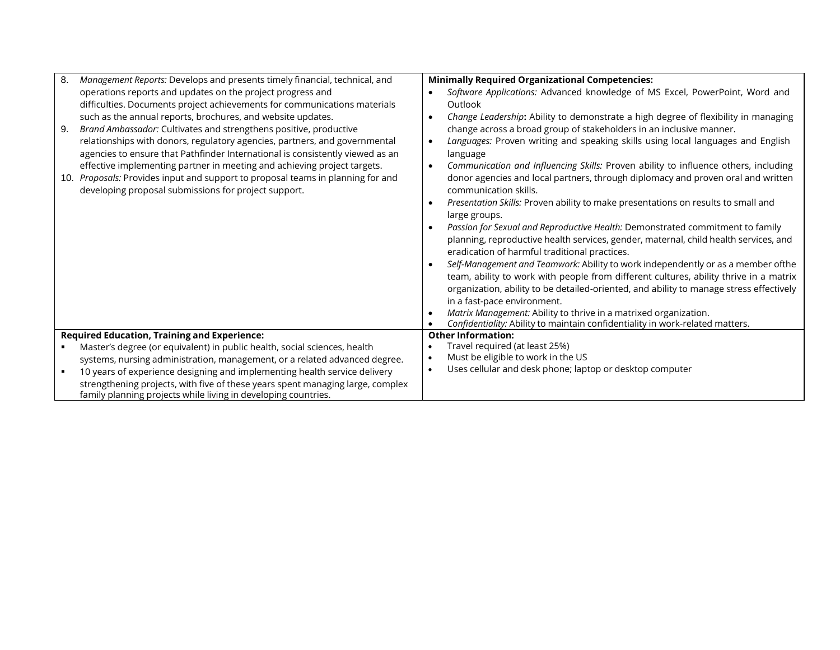| 8.  | Management Reports: Develops and presents timely financial, technical, and     | <b>Minimally Required Organizational Competencies:</b>                                           |
|-----|--------------------------------------------------------------------------------|--------------------------------------------------------------------------------------------------|
|     | operations reports and updates on the project progress and                     | Software Applications: Advanced knowledge of MS Excel, PowerPoint, Word and                      |
|     | difficulties. Documents project achievements for communications materials      | Outlook                                                                                          |
|     | such as the annual reports, brochures, and website updates.                    | Change Leadership: Ability to demonstrate a high degree of flexibility in managing<br>$\bullet$  |
| 9.  | Brand Ambassador: Cultivates and strengthens positive, productive              | change across a broad group of stakeholders in an inclusive manner.                              |
|     | relationships with donors, regulatory agencies, partners, and governmental     | Languages: Proven writing and speaking skills using local languages and English<br>$\bullet$     |
|     | agencies to ensure that Pathfinder International is consistently viewed as an  | language                                                                                         |
|     | effective implementing partner in meeting and achieving project targets.       | Communication and Influencing Skills: Proven ability to influence others, including<br>$\bullet$ |
| 10. | Proposals: Provides input and support to proposal teams in planning for and    | donor agencies and local partners, through diplomacy and proven oral and written                 |
|     | developing proposal submissions for project support.                           | communication skills.                                                                            |
|     |                                                                                | Presentation Skills: Proven ability to make presentations on results to small and<br>$\bullet$   |
|     |                                                                                | large groups.                                                                                    |
|     |                                                                                | Passion for Sexual and Reproductive Health: Demonstrated commitment to family<br>$\bullet$       |
|     |                                                                                | planning, reproductive health services, gender, maternal, child health services, and             |
|     |                                                                                | eradication of harmful traditional practices.                                                    |
|     |                                                                                | Self-Management and Teamwork: Ability to work independently or as a member ofthe<br>$\bullet$    |
|     |                                                                                | team, ability to work with people from different cultures, ability thrive in a matrix            |
|     |                                                                                | organization, ability to be detailed-oriented, and ability to manage stress effectively          |
|     |                                                                                | in a fast-pace environment.                                                                      |
|     |                                                                                | Matrix Management: Ability to thrive in a matrixed organization.                                 |
|     |                                                                                | Confidentiality: Ability to maintain confidentiality in work-related matters.                    |
|     | <b>Required Education, Training and Experience:</b>                            | <b>Other Information:</b>                                                                        |
|     | Master's degree (or equivalent) in public health, social sciences, health      | Travel required (at least 25%)                                                                   |
|     | systems, nursing administration, management, or a related advanced degree.     | Must be eligible to work in the US<br>$\bullet$                                                  |
|     | 10 years of experience designing and implementing health service delivery      | Uses cellular and desk phone; laptop or desktop computer<br>$\bullet$                            |
|     | strengthening projects, with five of these years spent managing large, complex |                                                                                                  |
|     | family planning projects while living in developing countries.                 |                                                                                                  |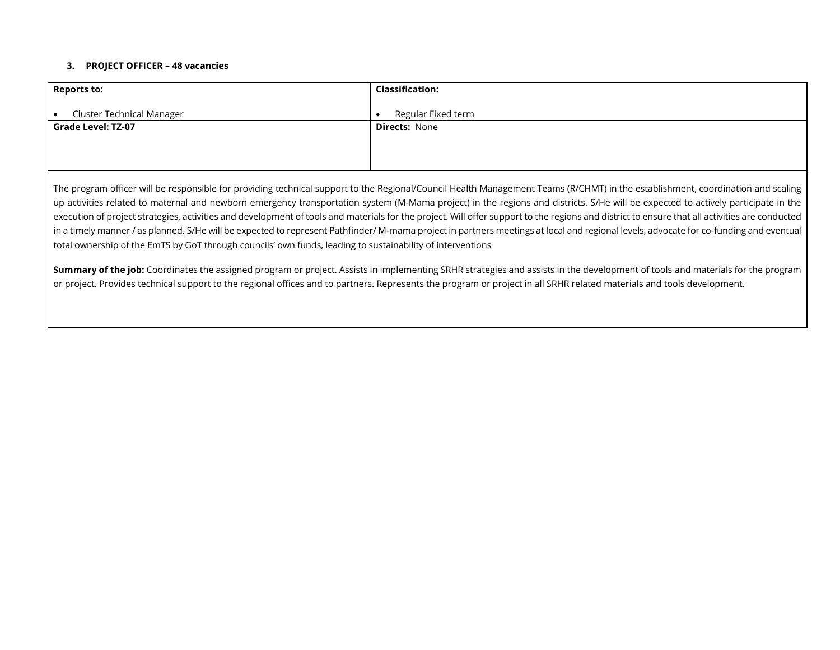### **3. PROJECT OFFICER – 48 vacancies**

| <b>Reports to:</b>               | <b>Classification:</b> |
|----------------------------------|------------------------|
| <b>Cluster Technical Manager</b> | Regular Fixed term     |
| <b>Grade Level: TZ-07</b>        | <b>Directs: None</b>   |
|                                  |                        |
|                                  |                        |

The program officer will be responsible for providing technical support to the Regional/Council Health Management Teams (R/CHMT) in the establishment, coordination and scaling up activities related to maternal and newborn emergency transportation system (M-Mama project) in the regions and districts. S/He will be expected to actively participate in the execution of project strategies, activities and development of tools and materials for the project. Will offer support to the regions and district to ensure that all activities are conducted in a timely manner / as planned. S/He will be expected to represent Pathfinder/ M-mama project in partners meetings at local and regional levels, advocate for co-funding and eventual total ownership of the EmTS by GoT through councils' own funds, leading to sustainability of interventions

**Summary of the job:** Coordinates the assigned program or project. Assists in implementing SRHR strategies and assists in the development of tools and materials for the program or project. Provides technical support to the regional offices and to partners. Represents the program or project in all SRHR related materials and tools development.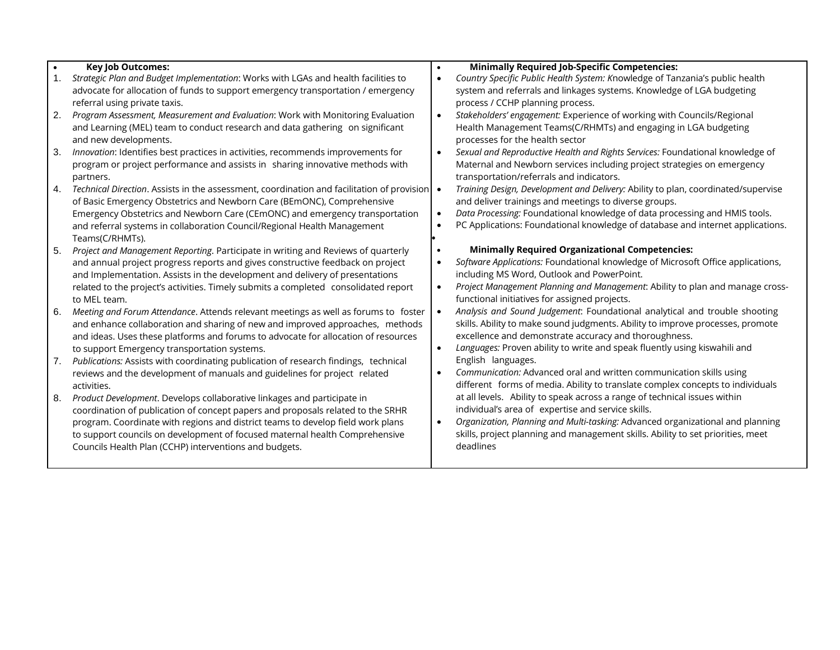|     | <b>Key Job Outcomes:</b>                                                                           | <b>Minimally Required Job-Specific Competencies:</b>                                      |
|-----|----------------------------------------------------------------------------------------------------|-------------------------------------------------------------------------------------------|
| 1.  | Strategic Plan and Budget Implementation: Works with LGAs and health facilities to                 | Country Specific Public Health System: Knowledge of Tanzania's public health<br>$\bullet$ |
|     | advocate for allocation of funds to support emergency transportation / emergency                   | system and referrals and linkages systems. Knowledge of LGA budgeting                     |
|     | referral using private taxis.                                                                      | process / CCHP planning process.                                                          |
| 2.  | Program Assessment, Measurement and Evaluation: Work with Monitoring Evaluation                    | Stakeholders' engagement: Experience of working with Councils/Regional                    |
|     | and Learning (MEL) team to conduct research and data gathering on significant                      | Health Management Teams(C/RHMTs) and engaging in LGA budgeting                            |
|     | and new developments.                                                                              | processes for the health sector                                                           |
| 3.  | Innovation: Identifies best practices in activities, recommends improvements for                   | Sexual and Reproductive Health and Rights Services: Foundational knowledge of             |
|     | program or project performance and assists in sharing innovative methods with                      | Maternal and Newborn services including project strategies on emergency                   |
|     | partners.                                                                                          | transportation/referrals and indicators.                                                  |
| 4.  | Technical Direction. Assists in the assessment, coordination and facilitation of provision $\cdot$ | Training Design, Development and Delivery: Ability to plan, coordinated/supervise         |
|     | of Basic Emergency Obstetrics and Newborn Care (BEmONC), Comprehensive                             | and deliver trainings and meetings to diverse groups.                                     |
|     | Emergency Obstetrics and Newborn Care (CEmONC) and emergency transportation                        | Data Processing: Foundational knowledge of data processing and HMIS tools.                |
|     | and referral systems in collaboration Council/Regional Health Management                           | PC Applications: Foundational knowledge of database and internet applications.            |
|     | Teams(C/RHMTs).                                                                                    |                                                                                           |
| 5.  | Project and Management Reporting. Participate in writing and Reviews of quarterly                  | <b>Minimally Required Organizational Competencies:</b>                                    |
|     | and annual project progress reports and gives constructive feedback on project                     | Software Applications: Foundational knowledge of Microsoft Office applications,           |
|     | and Implementation. Assists in the development and delivery of presentations                       | including MS Word, Outlook and PowerPoint.                                                |
|     | related to the project's activities. Timely submits a completed consolidated report                | Project Management Planning and Management: Ability to plan and manage cross-             |
|     | to MEL team.                                                                                       | functional initiatives for assigned projects.                                             |
| 6.  | Meeting and Forum Attendance. Attends relevant meetings as well as forums to foster                | Analysis and Sound Judgement: Foundational analytical and trouble shooting                |
|     | and enhance collaboration and sharing of new and improved approaches, methods                      | skills. Ability to make sound judgments. Ability to improve processes, promote            |
|     | and ideas. Uses these platforms and forums to advocate for allocation of resources                 | excellence and demonstrate accuracy and thoroughness.                                     |
|     | to support Emergency transportation systems.                                                       | Languages: Proven ability to write and speak fluently using kiswahili and                 |
| 7.  | Publications: Assists with coordinating publication of research findings, technical                | English languages.                                                                        |
|     | reviews and the development of manuals and guidelines for project related                          | Communication: Advanced oral and written communication skills using                       |
|     | activities.                                                                                        | different forms of media. Ability to translate complex concepts to individuals            |
| -8. | Product Development. Develops collaborative linkages and participate in                            | at all levels. Ability to speak across a range of technical issues within                 |
|     | coordination of publication of concept papers and proposals related to the SRHR                    | individual's area of expertise and service skills.                                        |
|     | program. Coordinate with regions and district teams to develop field work plans                    | Organization, Planning and Multi-tasking: Advanced organizational and planning            |
|     | to support councils on development of focused maternal health Comprehensive                        | skills, project planning and management skills. Ability to set priorities, meet           |
|     | Councils Health Plan (CCHP) interventions and budgets.                                             | deadlines                                                                                 |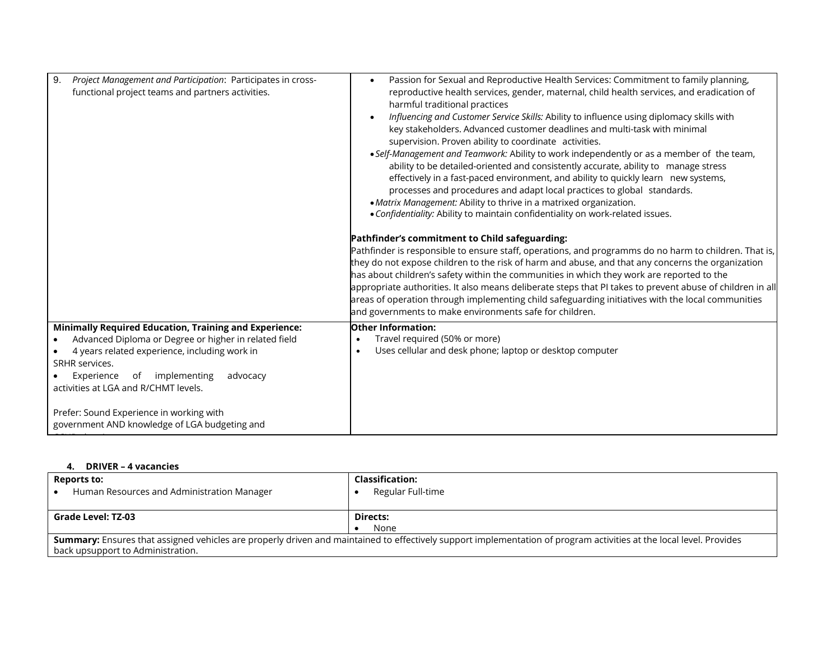| Project Management and Participation: Participates in cross-<br>9.<br>functional project teams and partners activities. | Passion for Sexual and Reproductive Health Services: Commitment to family planning,<br>reproductive health services, gender, maternal, child health services, and eradication of<br>harmful traditional practices<br>Influencing and Customer Service Skills: Ability to influence using diplomacy skills with<br>key stakeholders. Advanced customer deadlines and multi-task with minimal<br>supervision. Proven ability to coordinate activities.<br>• Self-Management and Teamwork: Ability to work independently or as a member of the team,<br>ability to be detailed-oriented and consistently accurate, ability to manage stress<br>effectively in a fast-paced environment, and ability to quickly learn new systems,<br>processes and procedures and adapt local practices to global standards.<br>• Matrix Management: Ability to thrive in a matrixed organization.<br>• Confidentiality: Ability to maintain confidentiality on work-related issues. |
|-------------------------------------------------------------------------------------------------------------------------|-------------------------------------------------------------------------------------------------------------------------------------------------------------------------------------------------------------------------------------------------------------------------------------------------------------------------------------------------------------------------------------------------------------------------------------------------------------------------------------------------------------------------------------------------------------------------------------------------------------------------------------------------------------------------------------------------------------------------------------------------------------------------------------------------------------------------------------------------------------------------------------------------------------------------------------------------------------------|
|                                                                                                                         | Pathfinder's commitment to Child safeguarding:                                                                                                                                                                                                                                                                                                                                                                                                                                                                                                                                                                                                                                                                                                                                                                                                                                                                                                                    |
|                                                                                                                         | Pathfinder is responsible to ensure staff, operations, and programms do no harm to children. That is,<br>they do not expose children to the risk of harm and abuse, and that any concerns the organization<br>has about children's safety within the communities in which they work are reported to the<br>appropriate authorities. It also means deliberate steps that PI takes to prevent abuse of children in all<br>areas of operation through implementing child safeguarding initiatives with the local communities<br>and governments to make environments safe for children.                                                                                                                                                                                                                                                                                                                                                                              |
| <b>Minimally Required Education, Training and Experience:</b>                                                           | <b>Other Information:</b>                                                                                                                                                                                                                                                                                                                                                                                                                                                                                                                                                                                                                                                                                                                                                                                                                                                                                                                                         |
| Advanced Diploma or Degree or higher in related field                                                                   | Travel required (50% or more)                                                                                                                                                                                                                                                                                                                                                                                                                                                                                                                                                                                                                                                                                                                                                                                                                                                                                                                                     |
| 4 years related experience, including work in<br>SRHR services.                                                         | Uses cellular and desk phone; laptop or desktop computer<br>$\bullet$                                                                                                                                                                                                                                                                                                                                                                                                                                                                                                                                                                                                                                                                                                                                                                                                                                                                                             |
| implementing<br>Experience<br>of<br>advocacy                                                                            |                                                                                                                                                                                                                                                                                                                                                                                                                                                                                                                                                                                                                                                                                                                                                                                                                                                                                                                                                                   |
| activities at LGA and R/CHMT levels.                                                                                    |                                                                                                                                                                                                                                                                                                                                                                                                                                                                                                                                                                                                                                                                                                                                                                                                                                                                                                                                                                   |
| Prefer: Sound Experience in working with                                                                                |                                                                                                                                                                                                                                                                                                                                                                                                                                                                                                                                                                                                                                                                                                                                                                                                                                                                                                                                                                   |
| government AND knowledge of LGA budgeting and                                                                           |                                                                                                                                                                                                                                                                                                                                                                                                                                                                                                                                                                                                                                                                                                                                                                                                                                                                                                                                                                   |

#### **4. DRIVER – 4 vacancies**

| <b>Reports to:</b><br>Human Resources and Administration Manager                                                                                                                                         | <b>Classification:</b><br>Regular Full-time |  |  |
|----------------------------------------------------------------------------------------------------------------------------------------------------------------------------------------------------------|---------------------------------------------|--|--|
| <b>Grade Level: TZ-03</b>                                                                                                                                                                                | Directs:                                    |  |  |
|                                                                                                                                                                                                          | None                                        |  |  |
| Summary: Ensures that assigned vehicles are properly driven and maintained to effectively support implementation of program activities at the local level. Provides<br>back upsupport to Administration. |                                             |  |  |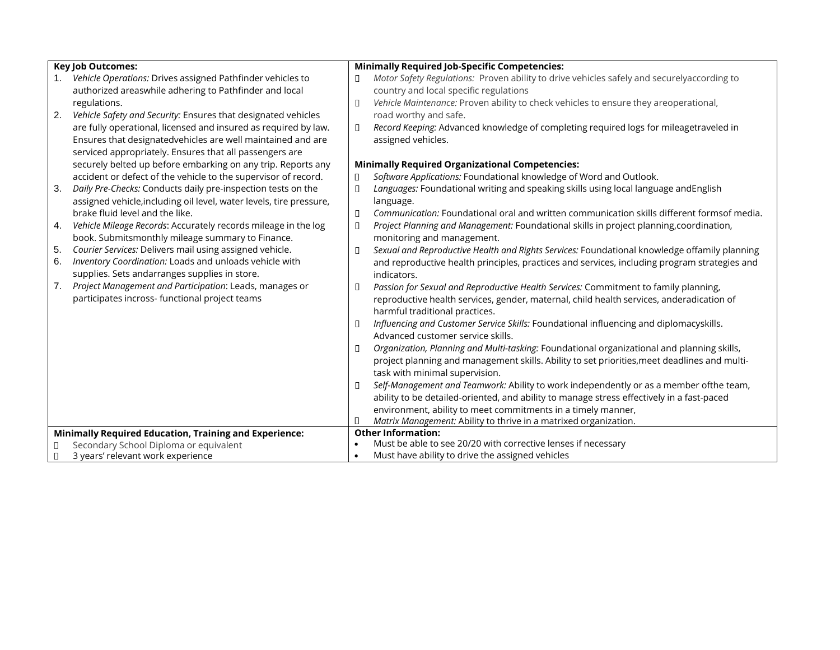|    | <b>Key Job Outcomes:</b>                                                    | <b>Minimally Required Job-Specific Competencies:</b> |                                                                                              |  |
|----|-----------------------------------------------------------------------------|------------------------------------------------------|----------------------------------------------------------------------------------------------|--|
|    | Vehicle Operations: Drives assigned Pathfinder vehicles to                  | Π                                                    | Motor Safety Regulations: Proven ability to drive vehicles safely and securelyaccording to   |  |
|    | authorized areaswhile adhering to Pathfinder and local                      |                                                      | country and local specific regulations                                                       |  |
|    | regulations.                                                                | П                                                    | Vehicle Maintenance: Proven ability to check vehicles to ensure they areoperational,         |  |
| 2. | Vehicle Safety and Security: Ensures that designated vehicles               |                                                      | road worthy and safe.                                                                        |  |
|    | are fully operational, licensed and insured as required by law.             | ▯                                                    | Record Keeping: Advanced knowledge of completing required logs for mileagetraveled in        |  |
|    | Ensures that designatedvehicles are well maintained and are                 |                                                      | assigned vehicles.                                                                           |  |
|    | serviced appropriately. Ensures that all passengers are                     |                                                      |                                                                                              |  |
|    | securely belted up before embarking on any trip. Reports any                |                                                      | <b>Minimally Required Organizational Competencies:</b>                                       |  |
|    | accident or defect of the vehicle to the supervisor of record.              | П                                                    | Software Applications: Foundational knowledge of Word and Outlook.                           |  |
| 3. | Daily Pre-Checks: Conducts daily pre-inspection tests on the                | П                                                    | Languages: Foundational writing and speaking skills using local language andEnglish          |  |
|    | assigned vehicle, including oil level, water levels, tire pressure,         |                                                      | language.                                                                                    |  |
|    | brake fluid level and the like.                                             | П                                                    | Communication: Foundational oral and written communication skills different formsof media.   |  |
| 4. | Vehicle Mileage Records: Accurately records mileage in the log              | ▯                                                    | Project Planning and Management: Foundational skills in project planning, coordination,      |  |
|    | book. Submitsmonthly mileage summary to Finance.                            |                                                      | monitoring and management.                                                                   |  |
| 5. | Courier Services: Delivers mail using assigned vehicle.                     | П                                                    | Sexual and Reproductive Health and Rights Services: Foundational knowledge offamily planning |  |
| 6. | Inventory Coordination: Loads and unloads vehicle with                      |                                                      | and reproductive health principles, practices and services, including program strategies and |  |
|    | supplies. Sets andarranges supplies in store.                               |                                                      | indicators.                                                                                  |  |
| 7. | Project Management and Participation: Leads, manages or                     | Л                                                    | Passion for Sexual and Reproductive Health Services: Commitment to family planning,          |  |
|    | participates incross- functional project teams                              |                                                      | reproductive health services, gender, maternal, child health services, anderadication of     |  |
|    |                                                                             |                                                      | harmful traditional practices.                                                               |  |
|    |                                                                             | П                                                    | Influencing and Customer Service Skills: Foundational influencing and diplomacyskills.       |  |
|    |                                                                             |                                                      | Advanced customer service skills.                                                            |  |
|    |                                                                             | П                                                    | Organization, Planning and Multi-tasking: Foundational organizational and planning skills,   |  |
|    |                                                                             |                                                      | project planning and management skills. Ability to set priorities, meet deadlines and multi- |  |
|    |                                                                             |                                                      | task with minimal supervision.                                                               |  |
|    |                                                                             | П                                                    | Self-Management and Teamwork: Ability to work independently or as a member ofthe team,       |  |
|    |                                                                             |                                                      | ability to be detailed-oriented, and ability to manage stress effectively in a fast-paced    |  |
|    |                                                                             |                                                      | environment, ability to meet commitments in a timely manner,                                 |  |
|    |                                                                             | П                                                    | Matrix Management: Ability to thrive in a matrixed organization.                             |  |
|    | <b>Minimally Required Education, Training and Experience:</b>               | $\bullet$                                            | <b>Other Information:</b><br>Must be able to see 20/20 with corrective lenses if necessary   |  |
| Π. | Secondary School Diploma or equivalent<br>3 years' relevant work experience | $\bullet$                                            | Must have ability to drive the assigned vehicles                                             |  |